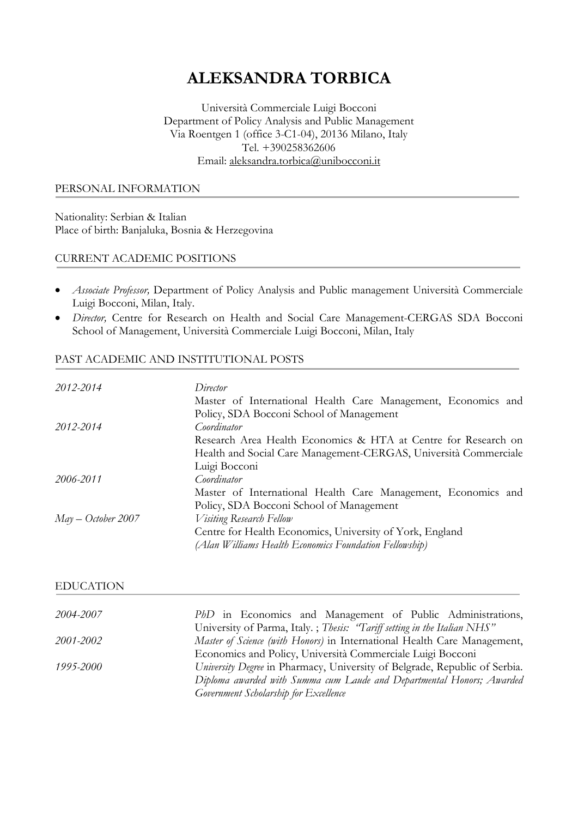# **ALEKSANDRA TORBICA**

Università Commerciale Luigi Bocconi Department of Policy Analysis and Public Management Via Roentgen 1 (office 3-C1-04), 20136 Milano, Italy  $Tel. +390258362606$ Email: [aleksandra.torbica@unibocconi.it](mailto:aleksandra.torbica@unibocconi.it)

#### PERSONAL INFORMATION

Nationality: Serbian & Italian Place of birth: Banjaluka, Bosnia & Herzegovina

### CURRENT ACADEMIC POSITIONS

- *Associate Professor,* Department of Policy Analysis and Public management Università Commerciale Luigi Bocconi, Milan, Italy.
- *Director,* Centre for Research on Health and Social Care Management-CERGAS SDA Bocconi School of Management, Università Commerciale Luigi Bocconi, Milan, Italy

# PAST ACADEMIC AND INSTITUTIONAL POSTS

| Director                                                         |
|------------------------------------------------------------------|
| Master of International Health Care Management, Economics and    |
| Policy, SDA Bocconi School of Management                         |
| Coordinator                                                      |
| Research Area Health Economics & HTA at Centre for Research on   |
| Health and Social Care Management-CERGAS, Università Commerciale |
| Luigi Bocconi                                                    |
| Coordinator                                                      |
| Master of International Health Care Management, Economics and    |
| Policy, SDA Bocconi School of Management                         |
| <i>Visiting</i> Research Fellow                                  |
| Centre for Health Economics, University of York, England         |
| (Alan Williams Health Economics Foundation Fellowship)           |
|                                                                  |

#### EDUCATION

| 2004-2007 | PhD in Economics and Management of Public Administrations,                 |
|-----------|----------------------------------------------------------------------------|
|           | University of Parma, Italy.; Thesis: "Tariff setting in the Italian NHS"   |
| 2001-2002 | Master of Science (with Honors) in International Health Care Management,   |
|           | Economics and Policy, Università Commerciale Luigi Bocconi                 |
| 1995-2000 | University Degree in Pharmacy, University of Belgrade, Republic of Serbia. |
|           | Diploma awarded with Summa cum Laude and Departmental Honors; Awarded      |
|           | Government Scholarship for Excellence                                      |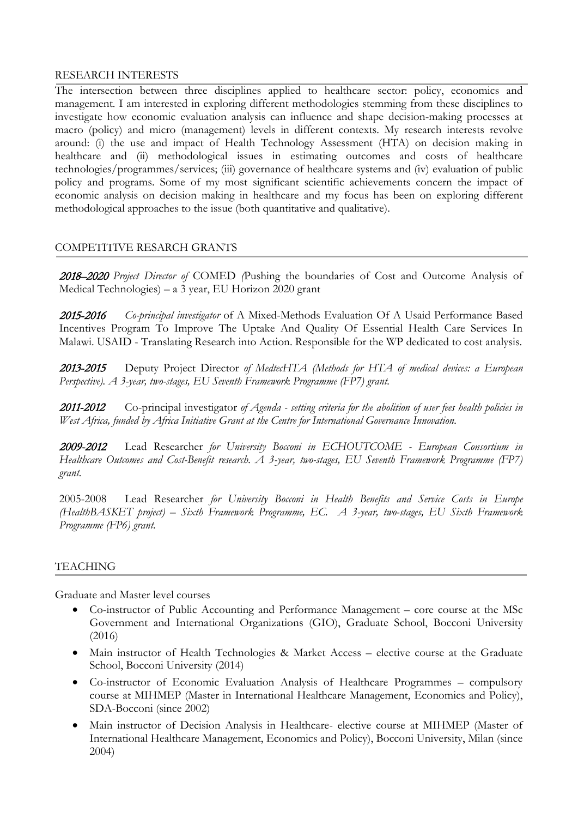### RESEARCH INTERESTS

The intersection between three disciplines applied to healthcare sector: policy, economics and management. I am interested in exploring different methodologies stemming from these disciplines to investigate how economic evaluation analysis can influence and shape decision-making processes at macro (policy) and micro (management) levels in different contexts. My research interests revolve around: (i) the use and impact of Health Technology Assessment (HTA) on decision making in healthcare and (ii) methodological issues in estimating outcomes and costs of healthcare technologies/programmes/services; (iii) governance of healthcare systems and (iv) evaluation of public policy and programs. Some of my most significant scientific achievements concern the impact of economic analysis on decision making in healthcare and my focus has been on exploring different methodological approaches to the issue (both quantitative and qualitative).

# COMPETITIVE RESARCH GRANTS

2018–2020 *Project Director of* COMED *(*Pushing the boundaries of Cost and Outcome Analysis of Medical Technologies) – a 3 year, EU Horizon 2020 grant

2015-2016 *Co-principal investigator* of A Mixed-Methods Evaluation Of A Usaid Performance Based Incentives Program To Improve The Uptake And Quality Of Essential Health Care Services In Malawi. USAID - Translating Research into Action. Responsible for the WP dedicated to cost analysis.

2013-2015 Deputy Project Director *of MedtecHTA (Methods for HTA of medical devices: a European Perspective). A 3-year, two-stages, EU Seventh Framework Programme (FP7) grant.*

2011-2012 Co-principal investigator *of Agenda - setting criteria for the abolition of user fees health policies in West Africa, funded by Africa Initiative Grant at the Centre for International Governance Innovation.*

2009-2012 Lead Researcher *for University Bocconi in ECHOUTCOME - European Consortium in Healthcare Outcomes and Cost-Benefit research. A 3-year, two-stages, EU Seventh Framework Programme (FP7) grant.*

2005-2008 Lead Researcher *for University Bocconi in Health Benefits and Service Costs in Europe (HealthBASKET project) – Sixth Framework Programme, EC. A 3-year, two-stages, EU Sixth Framework Programme (FP6) grant.*

# TEACHING

Graduate and Master level courses

- Co-instructor of Public Accounting and Performance Management core course at the MSc Government and International Organizations (GIO), Graduate School, Bocconi University (2016)
- Main instructor of Health Technologies & Market Access elective course at the Graduate School, Bocconi University (2014)
- Co-instructor of Economic Evaluation Analysis of Healthcare Programmes compulsory course at MIHMEP (Master in International Healthcare Management, Economics and Policy), SDA-Bocconi (since 2002)
- Main instructor of Decision Analysis in Healthcare- elective course at MIHMEP (Master of International Healthcare Management, Economics and Policy), Bocconi University, Milan (since 2004)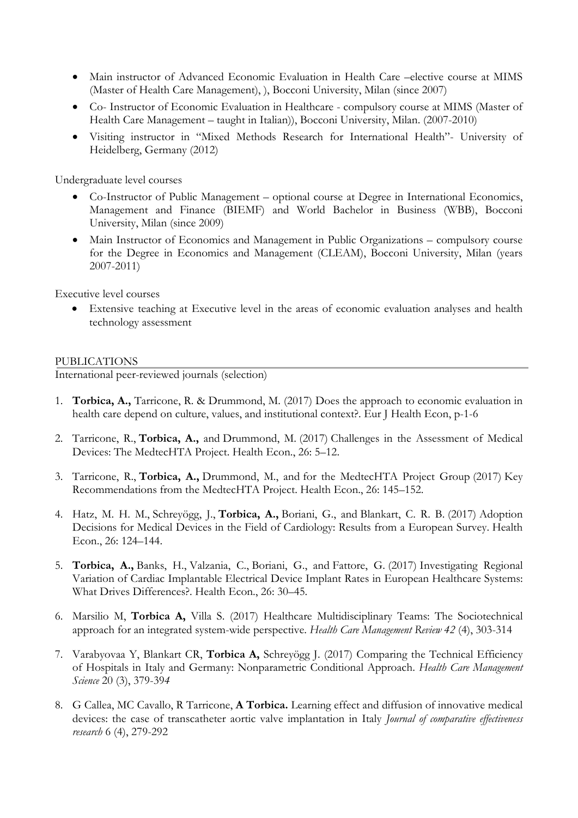- Main instructor of Advanced Economic Evaluation in Health Care –elective course at MIMS (Master of Health Care Management), ), Bocconi University, Milan (since 2007)
- Co- Instructor of Economic Evaluation in Healthcare compulsory course at MIMS (Master of Health Care Management – taught in Italian)), Bocconi University, Milan. (2007-2010)
- Visiting instructor in "Mixed Methods Research for International Health"- University of Heidelberg, Germany (2012)

Undergraduate level courses

- Co-Instructor of Public Management optional course at Degree in International Economics, Management and Finance (BIEMF) and World Bachelor in Business (WBB), Bocconi University, Milan (since 2009)
- Main Instructor of Economics and Management in Public Organizations compulsory course for the Degree in Economics and Management (CLEAM), Bocconi University, Milan (years 2007-2011)

Executive level courses

• Extensive teaching at Executive level in the areas of economic evaluation analyses and health technology assessment

PUBLICATIONS<br>International peer-reviewed journals (selection)

- 1. **Torbica, A.,** Tarricone, R. & Drummond, M. (2017) Does the approach to economic evaluation in health care depend on culture, values, and institutional context?. Eur J Health Econ, p-1-6
- 2. Tarricone, R., **Torbica, A.,** and Drummond, M. (2017) Challenges in the Assessment of Medical Devices: The MedtecHTA Project. Health Econ., 26: 5–12.
- 3. Tarricone, R., **Torbica, A.,** Drummond, M., and for the MedtecHTA Project Group (2017) Key Recommendations from the MedtecHTA Project. Health Econ., 26: 145–152.
- 4. Hatz, M. H. M., Schreyögg, J., **Torbica, A.,** Boriani, G., and Blankart, C. R. B. (2017) Adoption Decisions for Medical Devices in the Field of Cardiology: Results from a European Survey. Health Econ., 26: 124–144.
- 5. **Torbica, A.,** Banks, H., Valzania, C., Boriani, G., and Fattore, G. (2017) Investigating Regional Variation of Cardiac Implantable Electrical Device Implant Rates in European Healthcare Systems: What Drives Differences?. Health Econ., 26: 30–45.
- 6. Marsilio M, **Torbica A,** Villa S. (2017) Healthcare Multidisciplinary Teams: The Sociotechnical approach for an integrated system-wide perspective. *Health Care Management Review 42* (4), 303-314
- 7. Varabyovaa Y, Blankart CR, **Torbica A,** Schreyögg J. (2017) Comparing the Technical Efficiency of Hospitals in Italy and Germany: Nonparametric Conditional Approach. *Health Care Management Science* 20 (3), 379-39*4*
- 8. G Callea, MC Cavallo, R Tarricone, **A Torbica.** Learning effect and diffusion of innovative medical devices: the case of transcatheter aortic valve implantation in Italy *Journal of comparative effectiveness research* 6 (4), 279-292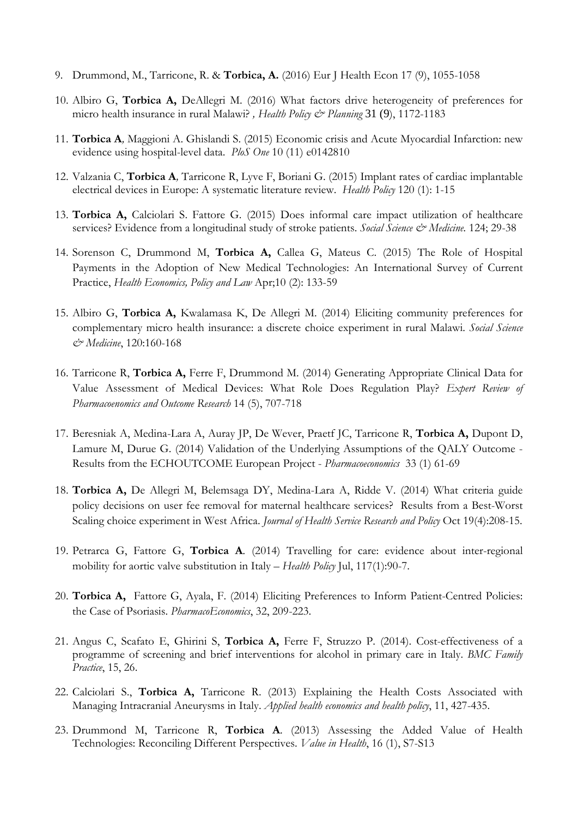- 9. Drummond, M., Tarricone, R. & **Torbica, A.** (2016) Eur J Health Econ 17 (9), 1055-1058
- 10. Albiro G, **Torbica A,** DeAllegri M. (2016) What factors drive heterogeneity of preferences for micro health insurance in rural Malawi? *, Health Policy & Planning* 31 (9), 1172-1183
- 11. **Torbica A***,* Maggioni A. Ghislandi S. (2015) Economic crisis and Acute Myocardial Infarction: new evidence using hospital-level data. *PloS One* 10 (11) e0142810
- 12. Valzania C, **Torbica A***,* Tarricone R, Lyve F, Boriani G. (2015) Implant rates of cardiac implantable electrical devices in Europe: A systematic literature review. *Health Policy* 120 (1): 1-15
- 13. **Torbica A,** Calciolari S. Fattore G. (2015) Does informal care impact utilization of healthcare services? Evidence from a longitudinal study of stroke patients. *Social Science & Medicine*. 124; 29-38
- 14. Sorenson C, Drummond M, **Torbica A,** Callea G, Mateus C. (2015) The Role of Hospital Payments in the Adoption of New Medical Technologies: An International Survey of Current Practice, *Health Economics, Policy and Law* Apr;10 (2): 133-59
- 15. Albiro G, **Torbica A,** Kwalamasa K, De Allegri M. (2014) Eliciting community preferences for complementary micro health insurance: a discrete choice experiment in rural Malawi. *Social Science & Medicine*, 120:160-168
- 16. Tarricone R, **Torbica A,** Ferre F, Drummond M. (2014) Generating Appropriate Clinical Data for Value Assessment of Medical Devices: What Role Does Regulation Play? *Expert Review of Pharmacoenomics and Outcome Research* 14 (5), 707-718
- 17. Beresniak A, Medina-Lara A, Auray JP, De Wever, Praetf JC, Tarricone R, **Torbica A,** Dupont D, Lamure M, Durue G. (2014) Validation of the Underlying Assumptions of the QALY Outcome - Results from the ECHOUTCOME European Project - *Pharmacoeconomics* 33 (1) 61-69
- 18. **Torbica A,** De Allegri M, Belemsaga DY, Medina-Lara A, Ridde V. (2014) What criteria guide policy decisions on user fee removal for maternal healthcare services? Results from a Best-Worst Scaling choice experiment in West Africa. *Journal of Health Service Research and Policy* Oct 19(4):208-15.
- 19. Petrarca G, Fattore G, **Torbica A***.* (2014) Travelling for care: evidence about inter-regional mobility for aortic valve substitution in Italy *– Health Policy* Jul, 117(1):90-7.
- 20. **Torbica A,** Fattore G, Ayala, F. (2014) Eliciting Preferences to Inform Patient-Centred Policies: the Case of Psoriasis. *PharmacoEconomics*, 32, 209-223.
- 21. Angus C, Scafato E, Ghirini S, **Torbica A,** Ferre F, Struzzo P. (2014). Cost-effectiveness of a programme of screening and brief interventions for alcohol in primary care in Italy. *BMC Family Practice*, 15, 26.
- 22. Calciolari S., **Torbica A,** Tarricone R. (2013) Explaining the Health Costs Associated with Managing Intracranial Aneurysms in Italy. *Applied health economics and health policy*, 11, 427-435.
- 23. Drummond M, Tarricone R, **Torbica A**. (2013) Assessing the Added Value of Health Technologies: Reconciling Different Perspectives. *Value in Health*, 16 (1), S7-S13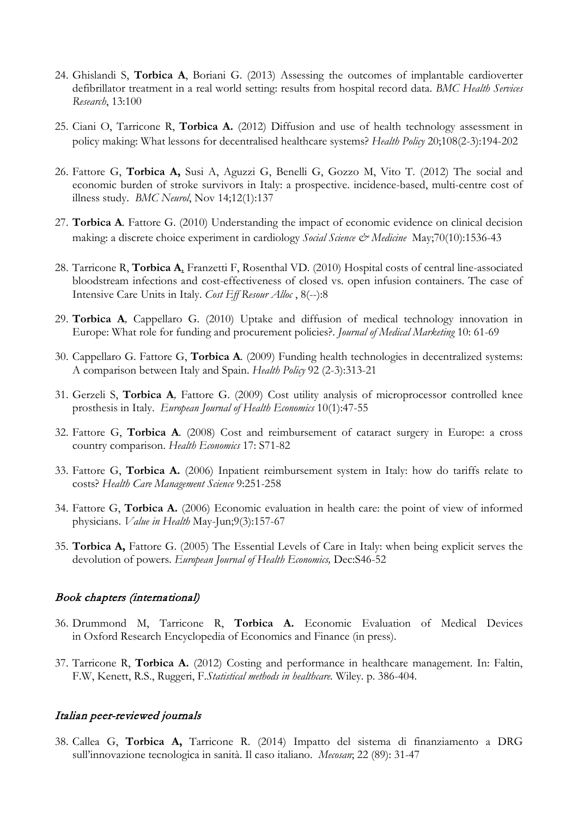- 24. Ghislandi S, **Torbica A**, Boriani G. (2013) Assessing the outcomes of implantable cardioverter defibrillator treatment in a real world setting: results from hospital record data. *BMC Health Services Research*, 13:100
- 25. Ciani O, Tarricone R, **Torbica A.** (2012) Diffusion and use of health technology assessment in policy making: What lessons for decentralised healthcare systems? *Health Policy* 20;108(2-3):194-202
- 26. Fattore G, **Torbica A,** Susi A, Aguzzi G, Benelli G, Gozzo M, Vito T. (2012) The social and economic burden of stroke survivors in Italy: a prospective. incidence-based, multi-centre cost of illness study. *BMC Neurol*, Nov 14;12(1):137
- 27. **Torbica A***.* Fattore G. (2010) Understanding the impact of economic evidence on clinical decision making: a discrete choice experiment in cardiology *Social Science & Medicine* May;70(10):1536-43
- 28. Tarricone R, **Torbica A***,* Franzetti F, Rosenthal VD. (2010) Hospital costs of central line-associated bloodstream infections and cost-effectiveness of closed vs. open infusion containers. The case of Intensive Care Units in Italy. *Cost Eff Resour Alloc* , 8(--):8
- 29. **Torbica A***,* Cappellaro G. (2010) Uptake and diffusion of medical technology innovation in Europe: What role for funding and procurement policies?. *Journal of Medical Marketing* 10: 61-69
- 30. Cappellaro G. Fattore G, **Torbica A***.* (2009) Funding health technologies in decentralized systems: A comparison between Italy and Spain. *Health Policy* 92 (2-3):313-21
- 31. Gerzeli S, **Torbica A***,* Fattore G. (2009) Cost utility analysis of microprocessor controlled knee prosthesis in Italy. *European Journal of Health Economics* 10(1):47-55
- 32. Fattore G, **Torbica A***.* (2008) Cost and reimbursement of cataract surgery in Europe: a cross country comparison. *Health Economics* 17: S71-82
- 33. Fattore G, **Torbica A.** (2006) Inpatient reimbursement system in Italy: how do tariffs relate to costs? *Health Care Management Science* 9:251-258
- 34. Fattore G, **Torbica A.** (2006) Economic evaluation in health care: the point of view of informed physicians. *Value in Health* May-Jun;9(3):157-67
- 35. **Torbica A,** Fattore G. (2005) The Essential Levels of Care in Italy: when being explicit serves the devolution of powers. *European Journal of Health Economics,* Dec:S46-52

#### Book chapters (international)

- 36. Drummond M, Tarricone R, **Torbica A.** Economic Evaluation of Medical Devices in Oxford Research Encyclopedia of Economics and Finance (in press).
- 37. Tarricone R, **Torbica A.** (2012) Costing and performance in healthcare management. In: Faltin, F.W, Kenett, R.S., Ruggeri, F.*Statistical methods in healthcare.* Wiley. p. 386-404.

#### Italian peer-reviewed journals

38. Callea G, **Torbica A,** Tarricone R. (2014) Impatto del sistema di finanziamento a DRG sull'innovazione tecnologica in sanità. Il caso italiano. *Mecosan*; 22 (89): 31-47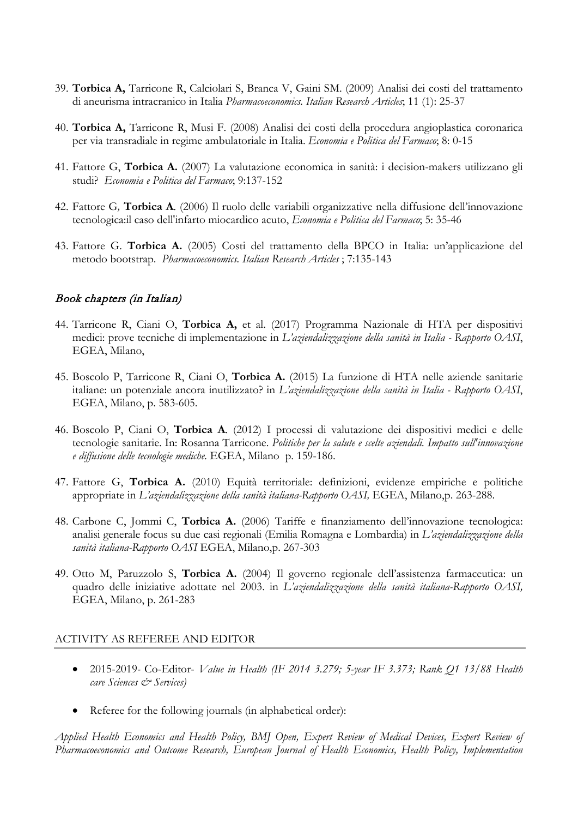- 39. **Torbica A,** Tarricone R, Calciolari S, Branca V, Gaini SM. (2009) Analisi dei costi del trattamento di aneurisma intracranico in Italia *Pharmacoeconomics. Italian Research Articles*; 11 (1): 25-37
- 40. **Torbica A,** Tarricone R, Musi F. (2008) Analisi dei costi della procedura angioplastica coronarica per via transradiale in regime ambulatoriale in Italia. *Economia e Politica del Farmaco*; 8: 0-15
- 41. Fattore G, **Torbica A.** (2007) La valutazione economica in sanità: i decision-makers utilizzano gli studi? *Economia e Politica del Farmaco*; 9:137-152
- 42. Fattore G*,* **Torbica A***.* (2006) Il ruolo delle variabili organizzative nella diffusione dell'innovazione tecnologica:il caso dell'infarto miocardico acuto, *Economia e Politica del Farmaco*; 5: 35-46
- 43. Fattore G. **Torbica A.** (2005) Costi del trattamento della BPCO in Italia: un'applicazione del metodo bootstrap. *Pharmacoeconomics. Italian Research Articles* ; 7:135-143

# Book chapters (in Italian)

- 44. Tarricone R, Ciani O, **Torbica A,** et al. (2017) Programma Nazionale di HTA per dispositivi medici: prove tecniche di implementazione in *L'aziendalizzazione della sanità in Italia - Rapporto OASI*, EGEA, Milano,
- 45. Boscolo P, Tarricone R, Ciani O, **Torbica A.** (2015) La funzione di HTA nelle aziende sanitarie italiane: un potenziale ancora inutilizzato? in *L'aziendalizzazione della sanità in Italia - Rapporto OASI*, EGEA, Milano, p. 583-605.
- 46. Boscolo P, Ciani O, **Torbica A***.* (2012) I processi di valutazione dei dispositivi medici e delle tecnologie sanitarie. In: Rosanna Tarricone. *Politiche per la salute e scelte aziendali. Impatto sull'innovazione e diffusione delle tecnologie mediche.* EGEA, Milano p. 159-186.
- 47. Fattore G, **Torbica A.** (2010) Equità territoriale: definizioni, evidenze empiriche e politiche appropriate in *L'aziendalizzazione della sanità italiana-Rapporto OASI,* EGEA, Milano,p. 263-288.
- 48. Carbone C, Jommi C, **Torbica A.** (2006) Tariffe e finanziamento dell'innovazione tecnologica: analisi generale focus su due casi regionali (Emilia Romagna e Lombardia) in *L'aziendalizzazione della sanità italiana-Rapporto OASI* EGEA, Milano,p. 267-303
- 49. Otto M, Paruzzolo S, **Torbica A.** (2004) Il governo regionale dell'assistenza farmaceutica: un quadro delle iniziative adottate nel 2003. in *L'aziendalizzazione della sanità italiana-Rapporto OASI,* EGEA, Milano, p. 261-283

#### ACTIVITY AS REFEREE AND EDITOR

- 2015-2019*-* Co-Editor- *Value in Health (IF 2014 3.279; 5-year IF 3.373; Rank Q1 13/88 Health care Sciences & Services)*
- Referee for the following journals (in alphabetical order):

*Applied Health Economics and Health Policy, BMJ Open, Expert Review of Medical Devices, Expert Review of Pharmacoeconomics and Outcome Research, European Journal of Health Economics, Health Policy, Implementation*